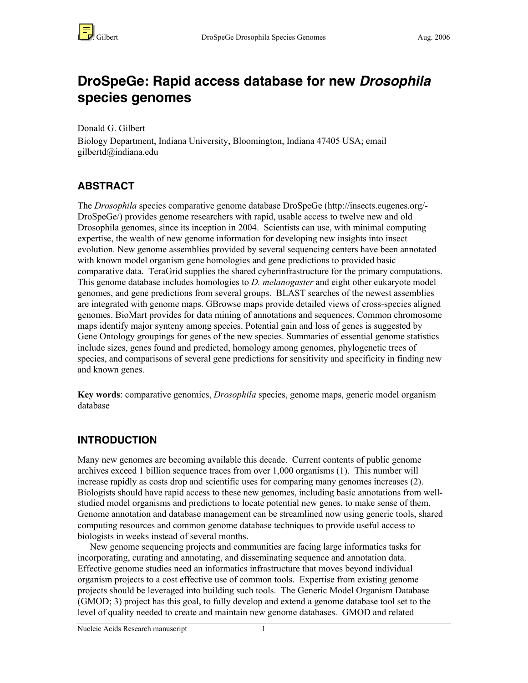

# **DroSpeGe: Rapid access database for new Drosophila species genomes**

Donald G. Gilbert

Biology Department, Indiana University, Bloomington, Indiana 47405 USA; email gilbertd@indiana.edu

# **ABSTRACT**

The *Drosophila* species comparative genome database DroSpeGe (http://insects.eugenes.org/- DroSpeGe/) provides genome researchers with rapid, usable access to twelve new and old Drosophila genomes, since its inception in 2004. Scientists can use, with minimal computing expertise, the wealth of new genome information for developing new insights into insect evolution. New genome assemblies provided by several sequencing centers have been annotated with known model organism gene homologies and gene predictions to provided basic comparative data. TeraGrid supplies the shared cyberinfrastructure for the primary computations. This genome database includes homologies to *D. melanogaster* and eight other eukaryote model genomes, and gene predictions from several groups. BLAST searches of the newest assemblies are integrated with genome maps. GBrowse maps provide detailed views of cross-species aligned genomes. BioMart provides for data mining of annotations and sequences. Common chromosome maps identify major synteny among species. Potential gain and loss of genes is suggested by Gene Ontology groupings for genes of the new species. Summaries of essential genome statistics include sizes, genes found and predicted, homology among genomes, phylogenetic trees of species, and comparisons of several gene predictions for sensitivity and specificity in finding new and known genes.

Key words: comparative genomics, *Drosophila* species, genome maps, generic model organism database

# **INTRODUCTION**

Many new genomes are becoming available this decade. Current contents of public genome archives exceed 1 billion sequence traces from over 1,000 organisms (1). This number will increase rapidly as costs drop and scientific uses for comparing many genomes increases (2). Biologists should have rapid access to these new genomes, including basic annotations from wellstudied model organisms and predictions to locate potential new genes, to make sense of them. Genome annotation and database management can be streamlined now using generic tools, shared computing resources and common genome database techniques to provide useful access to biologists in weeks instead of several months.

New genome sequencing projects and communities are facing large informatics tasks for incorporating, curating and annotating, and disseminating sequence and annotation data. Effective genome studies need an informatics infrastructure that moves beyond individual organism projects to a cost effective use of common tools. Expertise from existing genome projects should be leveraged into building such tools. The Generic Model Organism Database (GMOD; 3) project has this goal, to fully develop and extend a genome database tool set to the level of quality needed to create and maintain new genome databases. GMOD and related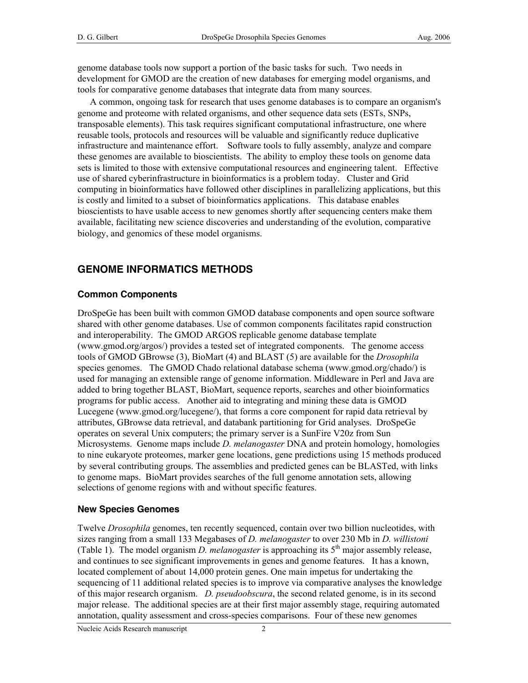genome database tools now support a portion of the basic tasks for such. Two needs in development for GMOD are the creation of new databases for emerging model organisms, and tools for comparative genome databases that integrate data from many sources.

A common, ongoing task for research that uses genome databases is to compare an organism's genome and proteome with related organisms, and other sequence data sets (ESTs, SNPs, transposable elements). This task requires significant computational infrastructure, one where reusable tools, protocols and resources will be valuable and significantly reduce duplicative infrastructure and maintenance effort. Software tools to fully assembly, analyze and compare these genomes are available to bioscientists. The ability to employ these tools on genome data sets is limited to those with extensive computational resources and engineering talent. Effective use of shared cyberinfrastructure in bioinformatics is a problem today. Cluster and Grid computing in bioinformatics have followed other disciplines in parallelizing applications, but this is costly and limited to a subset of bioinformatics applications. This database enables bioscientists to have usable access to new genomes shortly after sequencing centers make them available, facilitating new science discoveries and understanding of the evolution, comparative biology, and genomics of these model organisms.

## **GENOME INFORMATICS METHODS**

#### **Common Components**

DroSpeGe has been built with common GMOD database components and open source software shared with other genome databases. Use of common components facilitates rapid construction and interoperability. The GMOD ARGOS replicable genome database template (www.gmod.org/argos/) provides a tested set of integrated components. The genome access tools of GMOD GBrowse (3), BioMart (4) and BLAST (5) are available for the *Drosophila* species genomes. The GMOD Chado relational database schema (www.gmod.org/chado/) is used for managing an extensible range of genome information. Middleware in Perl and Java are added to bring together BLAST, BioMart, sequence reports, searches and other bioinformatics programs for public access. Another aid to integrating and mining these data is GMOD Lucegene (www.gmod.org/lucegene/), that forms a core component for rapid data retrieval by attributes, GBrowse data retrieval, and databank partitioning for Grid analyses. DroSpeGe operates on several Unix computers; the primary server is a SunFire V20z from Sun Microsystems. Genome maps include *D. melanogaster* DNA and protein homology, homologies to nine eukaryote proteomes, marker gene locations, gene predictions using 15 methods produced by several contributing groups. The assemblies and predicted genes can be BLASTed, with links to genome maps. BioMart provides searches of the full genome annotation sets, allowing selections of genome regions with and without specific features.

#### **New Species Genomes**

Twelve *Drosophila* genomes, ten recently sequenced, contain over two billion nucleotides, with sizes ranging from a small 133 Megabases of *D. melanogaster* to over 230 Mb in *D. willistoni* (Table 1). The model organism *D. melanogaster* is approaching its  $5<sup>th</sup>$  major assembly release, and continues to see significant improvements in genes and genome features. It has a known, located complement of about 14,000 protein genes. One main impetus for undertaking the sequencing of 11 additional related species is to improve via comparative analyses the knowledge of this major research organism. *D. pseudoobscura*, the second related genome, is in its second major release. The additional species are at their first major assembly stage, requiring automated annotation, quality assessment and cross-species comparisons. Four of these new genomes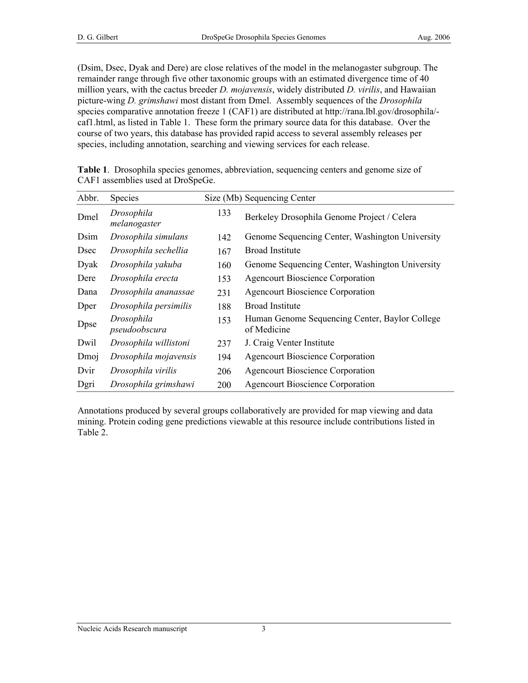(Dsim, Dsec, Dyak and Dere) are close relatives of the model in the melanogaster subgroup. The remainder range through five other taxonomic groups with an estimated divergence time of 40 million years, with the cactus breeder *D. mojavensis*, widely distributed *D. virilis*, and Hawaiian picture-wing *D. grimshawi* most distant from Dmel. Assembly sequences of the *Drosophila* species comparative annotation freeze 1 (CAF1) are distributed at http://rana.lbl.gov/drosophila/ caf1.html, as listed in Table 1. These form the primary source data for this database. Over the course of two years, this database has provided rapid access to several assembly releases per species, including annotation, searching and viewing services for each release.

| Abbr.        | Species                     |     | Size (Mb) Sequencing Center                                   |
|--------------|-----------------------------|-----|---------------------------------------------------------------|
| Dmel         | Drosophila<br>melanogaster  | 133 | Berkeley Drosophila Genome Project / Celera                   |
| Dsim         | Drosophila simulans         | 142 | Genome Sequencing Center, Washington University               |
| <b>D</b> sec | Drosophila sechellia        | 167 | Broad Institute                                               |
| Dyak         | Drosophila yakuba           | 160 | Genome Sequencing Center, Washington University               |
| Dere         | Drosophila erecta           | 153 | <b>Agencourt Bioscience Corporation</b>                       |
| Dana         | Drosophila ananassae        | 231 | <b>Agencourt Bioscience Corporation</b>                       |
| Dper         | Drosophila persimilis       | 188 | <b>Broad Institute</b>                                        |
| Dpse         | Drosophila<br>pseudoobscura | 153 | Human Genome Sequencing Center, Baylor College<br>of Medicine |
| Dwil         | Drosophila willistoni       | 237 | J. Craig Venter Institute                                     |
| Dmoj         | Drosophila mojavensis       | 194 | <b>Agencourt Bioscience Corporation</b>                       |
| Dvir         | Drosophila virilis          | 206 | <b>Agencourt Bioscience Corporation</b>                       |
| Dgri         | Drosophila grimshawi        | 200 | <b>Agencourt Bioscience Corporation</b>                       |

| <b>Table 1.</b> Drosophila species genomes, abbreviation, sequencing centers and genome size of |  |  |  |  |
|-------------------------------------------------------------------------------------------------|--|--|--|--|
| CAF1 assemblies used at DroSpeGe.                                                               |  |  |  |  |

Annotations produced by several groups collaboratively are provided for map viewing and data mining. Protein coding gene predictions viewable at this resource include contributions listed in Table 2.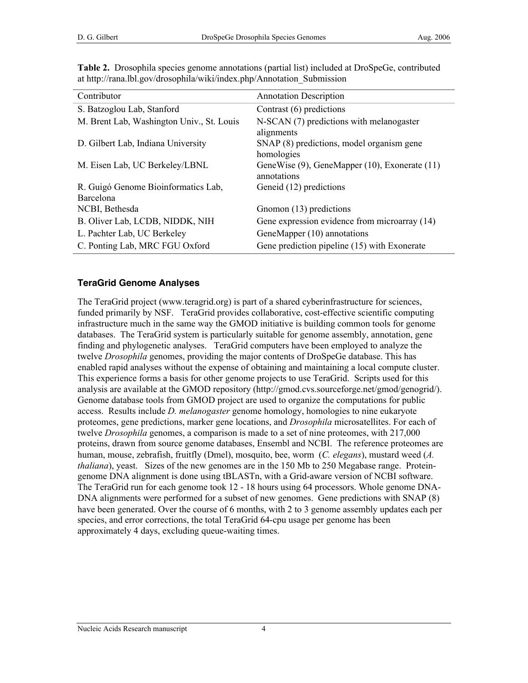| Contributor                               | <b>Annotation Description</b>                 |
|-------------------------------------------|-----------------------------------------------|
| S. Batzoglou Lab, Stanford                | Contrast (6) predictions                      |
| M. Brent Lab, Washington Univ., St. Louis | N-SCAN (7) predictions with melanogaster      |
|                                           | alignments                                    |
| D. Gilbert Lab, Indiana University        | SNAP (8) predictions, model organism gene     |
|                                           | homologies                                    |
| M. Eisen Lab, UC Berkeley/LBNL            | GeneWise (9), GeneMapper (10), Exonerate (11) |
|                                           | annotations                                   |
| R. Guigó Genome Bioinformatics Lab,       | Geneid (12) predictions                       |
| Barcelona                                 |                                               |
| NCBI, Bethesda                            | Gnomon (13) predictions                       |
| B. Oliver Lab, LCDB, NIDDK, NIH           | Gene expression evidence from microarray (14) |
| L. Pachter Lab, UC Berkeley               | GeneMapper (10) annotations                   |
| C. Ponting Lab, MRC FGU Oxford            | Gene prediction pipeline (15) with Exonerate  |

Table 2. Drosophila species genome annotations (partial list) included at DroSpeGe, contributed at http://rana.lbl.gov/drosophila/wiki/index.php/Annotation\_Submission

#### **TeraGrid Genome Analyses**

The TeraGrid project (www.teragrid.org) is part of a shared cyberinfrastructure for sciences, funded primarily by NSF. TeraGrid provides collaborative, cost-effective scientific computing infrastructure much in the same way the GMOD initiative is building common tools for genome databases. The TeraGrid system is particularly suitable for genome assembly, annotation, gene finding and phylogenetic analyses. TeraGrid computers have been employed to analyze the twelve *Drosophila* genomes, providing the major contents of DroSpeGe database. This has enabled rapid analyses without the expense of obtaining and maintaining a local compute cluster. This experience forms a basis for other genome projects to use TeraGrid. Scripts used for this analysis are available at the GMOD repository (http://gmod.cvs.sourceforge.net/gmod/genogrid/). Genome database tools from GMOD project are used to organize the computations for public access. Results include *D. melanogaster* genome homology, homologies to nine eukaryote proteomes, gene predictions, marker gene locations, and *Drosophila* microsatellites. For each of twelve *Drosophila* genomes, a comparison is made to a set of nine proteomes, with 217,000 proteins, drawn from source genome databases, Ensembl and NCBI. The reference proteomes are human, mouse, zebrafish, fruitfly (Dmel), mosquito, bee, worm (*C. elegans*), mustard weed (*A. thaliana*), yeast. Sizes of the new genomes are in the 150 Mb to 250 Megabase range. Proteingenome DNA alignment is done using tBLASTn, with a Grid-aware version of NCBI software. The TeraGrid run for each genome took 12 - 18 hours using 64 processors. Whole genome DNA-DNA alignments were performed for a subset of new genomes. Gene predictions with SNAP (8) have been generated. Over the course of 6 months, with 2 to 3 genome assembly updates each per species, and error corrections, the total TeraGrid 64-cpu usage per genome has been approximately 4 days, excluding queue-waiting times.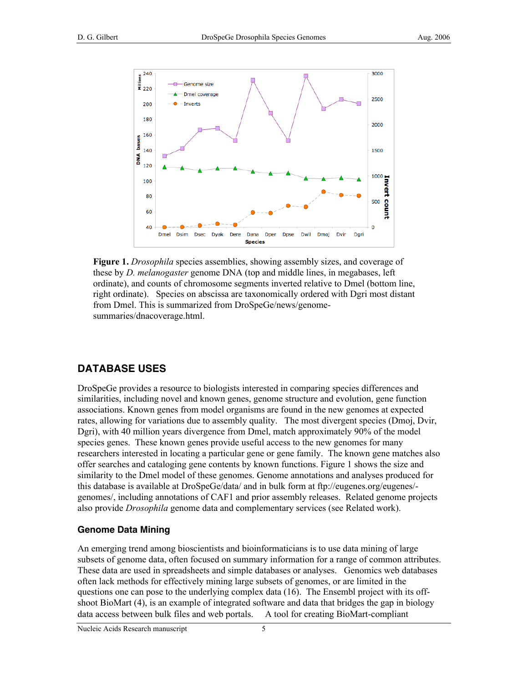

Figure 1. *Drosophila* species assemblies, showing assembly sizes, and coverage of these by *D. melanogaster* genome DNA (top and middle lines, in megabases, left ordinate), and counts of chromosome segments inverted relative to Dmel (bottom line, right ordinate). Species on abscissa are taxonomically ordered with Dgri most distant from Dmel. This is summarized from DroSpeGe/news/genomesummaries/dnacoverage.html.

## **DATABASE USES**

DroSpeGe provides a resource to biologists interested in comparing species differences and similarities, including novel and known genes, genome structure and evolution, gene function associations. Known genes from model organisms are found in the new genomes at expected rates, allowing for variations due to assembly quality. The most divergent species (Dmoj, Dvir, Dgri), with 40 million years divergence from Dmel, match approximately 90% of the model species genes. These known genes provide useful access to the new genomes for many researchers interested in locating a particular gene or gene family. The known gene matches also offer searches and cataloging gene contents by known functions. Figure 1 shows the size and similarity to the Dmel model of these genomes. Genome annotations and analyses produced for this database is available at DroSpeGe/data/ and in bulk form at ftp://eugenes.org/eugenes/ genomes/, including annotations of CAF1 and prior assembly releases. Related genome projects also provide *Drosophila* genome data and complementary services (see Related work).

#### **Genome Data Mining**

An emerging trend among bioscientists and bioinformaticians is to use data mining of large subsets of genome data, often focused on summary information for a range of common attributes. These data are used in spreadsheets and simple databases or analyses. Genomics web databases often lack methods for effectively mining large subsets of genomes, or are limited in the questions one can pose to the underlying complex data (16). The Ensembl project with its offshoot BioMart (4), is an example of integrated software and data that bridges the gap in biology data access between bulk files and web portals. A tool for creating BioMart-compliant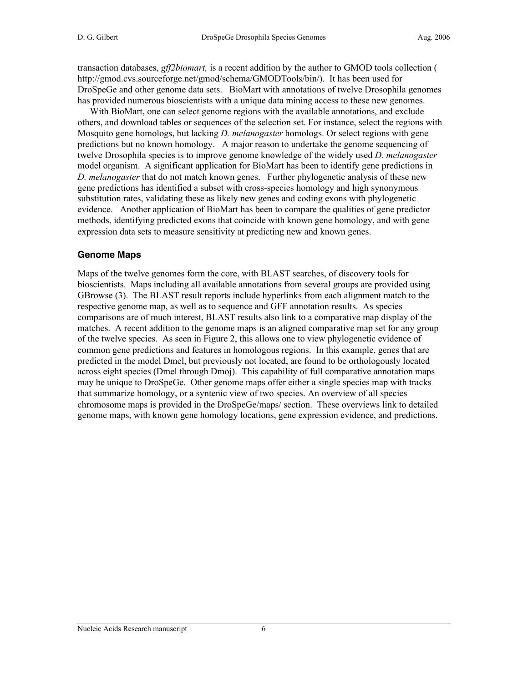transaction databases, *gff2biomart,* is a recent addition by the author to GMOD tools collection ( http://gmod.cvs.sourceforge.net/gmod/schema/GMODTools/bin/). It has been used for DroSpeGe and other genome data sets. BioMart with annotations of twelve Drosophila genomes has provided numerous bioscientists with a unique data mining access to these new genomes.

With BioMart, one can select genome regions with the available annotations, and exclude others, and download tables or sequences of the selection set. For instance, select the regions with Mosquito gene homologs, but lacking *D. melanogaster* homologs. Or select regions with gene predictions but no known homology. A major reason to undertake the genome sequencing of twelve Drosophila species is to improve genome knowledge of the widely used *D. melanogaster* model organism. A significant application for BioMart has been to identify gene predictions in *D. melanogaster* that do not match known genes. Further phylogenetic analysis of these new gene predictions has identified a subset with cross-species homology and high synonymous substitution rates, validating these as likely new genes and coding exons with phylogenetic evidence. Another application of BioMart has been to compare the qualities of gene predictor methods, identifying predicted exons that coincide with known gene homology, and with gene expression data sets to measure sensitivity at predicting new and known genes.

#### **Genome Maps**

Maps of the twelve genomes form the core, with BLAST searches, of discovery tools for bioscientists. Maps including all available annotations from several groups are provided using GBrowse (3). The BLAST result reports include hyperlinks from each alignment match to the respective genome map, as well as to sequence and GFF annotation results. As species comparisons are of much interest, BLAST results also link to a comparative map display of the matches. A recent addition to the genome maps is an aligned comparative map set for any group of the twelve species. As seen in Figure 2, this allows one to view phylogenetic evidence of common gene predictions and features in homologous regions. In this example, genes that are predicted in the model Dmel, but previously not located, are found to be orthologously located across eight species (Dmel through Dmoj). This capability of full comparative annotation maps may be unique to DroSpeGe. Other genome maps offer either a single species map with tracks that summarize homology, or a syntenic view of two species. An overview of all species chromosome maps is provided in the DroSpeGe/maps/ section. These overviews link to detailed genome maps, with known gene homology locations, gene expression evidence, and predictions.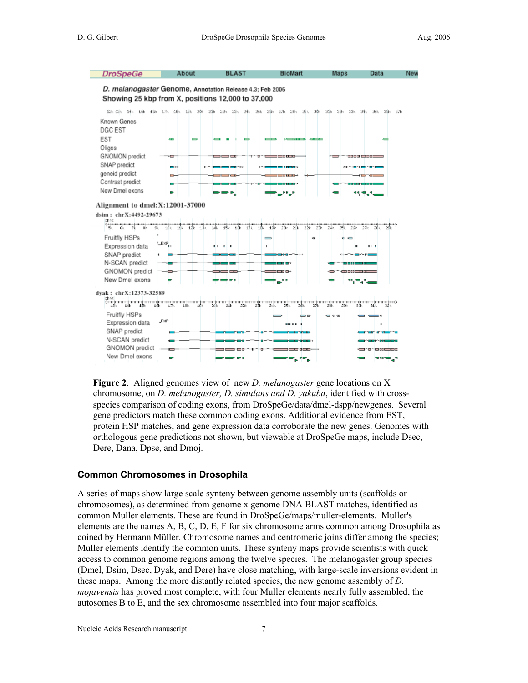

Figure 2. Aligned genomes view of new *D. melanogaster* gene locations on X chromosome, on *D. melanogaster, D. simulans and D. yakuba*, identified with crossspecies comparison of coding exons, from DroSpeGe/data/dmel-dspp/newgenes. Several gene predictors match these common coding exons. Additional evidence from EST, protein HSP matches, and gene expression data corroborate the new genes. Genomes with orthologous gene predictions not shown, but viewable at DroSpeGe maps, include Dsec, Dere, Dana, Dpse, and Dmoj.

#### **Common Chromosomes in Drosophila**

A series of maps show large scale synteny between genome assembly units (scaffolds or chromosomes), as determined from genome x genome DNA BLAST matches, identified as common Muller elements. These are found in DroSpeGe/maps/muller-elements. Muller's elements are the names A, B, C, D, E, F for six chromosome arms common among Drosophila as coined by Hermann Müller. Chromosome names and centromeric joins differ among the species; Muller elements identify the common units. These synteny maps provide scientists with quick access to common genome regions among the twelve species. The melanogaster group species (Dmel, Dsim, Dsec, Dyak, and Dere) have close matching, with large-scale inversions evident in these maps. Among the more distantly related species, the new genome assembly of *D. mojavensis* has proved most complete, with four Muller elements nearly fully assembled, the autosomes B to E, and the sex chromosome assembled into four major scaffolds.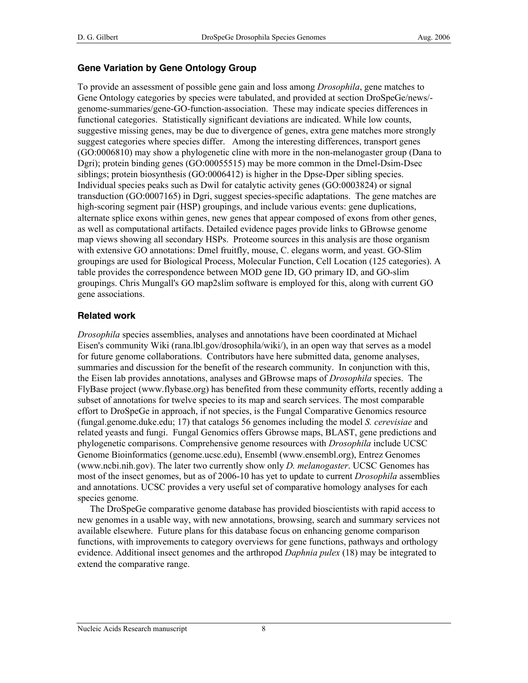#### **Gene Variation by Gene Ontology Group**

To provide an assessment of possible gene gain and loss among *Drosophila*, gene matches to Gene Ontology categories by species were tabulated, and provided at section DroSpeGe/news/ genome-summaries/gene-GO-function-association. These may indicate species differences in functional categories. Statistically significant deviations are indicated. While low counts, suggestive missing genes, may be due to divergence of genes, extra gene matches more strongly suggest categories where species differ. Among the interesting differences, transport genes (GO:0006810) may show a phylogenetic cline with more in the non-melanogaster group (Dana to Dgri); protein binding genes (GO:00055515) may be more common in the Dmel-Dsim-Dsec siblings; protein biosynthesis (GO:0006412) is higher in the Dpse-Dper sibling species. Individual species peaks such as Dwil for catalytic activity genes (GO:0003824) or signal transduction (GO:0007165) in Dgri, suggest species-specific adaptations. The gene matches are high-scoring segment pair (HSP) groupings, and include various events: gene duplications, alternate splice exons within genes, new genes that appear composed of exons from other genes, as well as computational artifacts. Detailed evidence pages provide links to GBrowse genome map views showing all secondary HSPs. Proteome sources in this analysis are those organism with extensive GO annotations: Dmel fruitfly, mouse, C. elegans worm, and yeast. GO-Slim groupings are used for Biological Process, Molecular Function, Cell Location (125 categories). A table provides the correspondence between MOD gene ID, GO primary ID, and GO-slim groupings. Chris Mungall's GO map2slim software is employed for this, along with current GO gene associations.

#### **Related work**

*Drosophila* species assemblies, analyses and annotations have been coordinated at Michael Eisen's community Wiki (rana.lbl.gov/drosophila/wiki/), in an open way that serves as a model for future genome collaborations. Contributors have here submitted data, genome analyses, summaries and discussion for the benefit of the research community. In conjunction with this, the Eisen lab provides annotations, analyses and GBrowse maps of *Drosophila* species. The FlyBase project (www.flybase.org) has benefited from these community efforts, recently adding a subset of annotations for twelve species to its map and search services. The most comparable effort to DroSpeGe in approach, if not species, is the Fungal Comparative Genomics resource (fungal.genome.duke.edu; 17) that catalogs 56 genomes including the model *S. cerevisiae* and related yeasts and fungi. Fungal Genomics offers Gbrowse maps, BLAST, gene predictions and phylogenetic comparisons. Comprehensive genome resources with *Drosophila* include UCSC Genome Bioinformatics (genome.ucsc.edu), Ensembl (www.ensembl.org), Entrez Genomes (www.ncbi.nih.gov). The later two currently show only *D. melanogaster*. UCSC Genomes has most of the insect genomes, but as of 2006-10 has yet to update to current *Drosophila* assemblies and annotations. UCSC provides a very useful set of comparative homology analyses for each species genome.

The DroSpeGe comparative genome database has provided bioscientists with rapid access to new genomes in a usable way, with new annotations, browsing, search and summary services not available elsewhere. Future plans for this database focus on enhancing genome comparison functions, with improvements to category overviews for gene functions, pathways and orthology evidence. Additional insect genomes and the arthropod *Daphnia pulex* (18) may be integrated to extend the comparative range.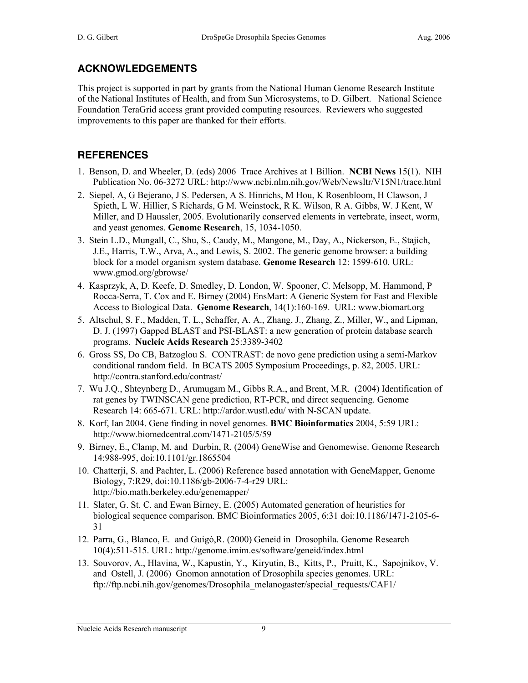### **ACKNOWLEDGEMENTS**

This project is supported in part by grants from the National Human Genome Research Institute of the National Institutes of Health, and from Sun Microsystems, to D. Gilbert. National Science Foundation TeraGrid access grant provided computing resources. Reviewers who suggested improvements to this paper are thanked for their efforts.

# **REFERENCES**

- 1. Benson, D. and Wheeler, D. (eds) 2006 Trace Archives at 1 Billion. NCBI News 15(1). NIH Publication No. 06-3272 URL: http://www.ncbi.nlm.nih.gov/Web/Newsltr/V15N1/trace.html
- 2. Siepel, A, G Bejerano, J S. Pedersen, A S. Hinrichs, M Hou, K Rosenbloom, H Clawson, J Spieth, L W. Hillier, S Richards, G M. Weinstock, R K. Wilson, R A. Gibbs, W. J Kent, W Miller, and D Haussler, 2005. Evolutionarily conserved elements in vertebrate, insect, worm, and yeast genomes. Genome Research, 15, 1034-1050.
- 3. Stein L.D., Mungall, C., Shu, S., Caudy, M., Mangone, M., Day, A., Nickerson, E., Stajich, J.E., Harris, T.W., Arva, A., and Lewis, S. 2002. The generic genome browser: a building block for a model organism system database. Genome Research 12: 1599-610. URL: www.gmod.org/gbrowse/
- 4. Kasprzyk, A, D. Keefe, D. Smedley, D. London, W. Spooner, C. Melsopp, M. Hammond, P Rocca-Serra, T. Cox and E. Birney (2004) EnsMart: A Generic System for Fast and Flexible Access to Biological Data. Genome Research, 14(1):160-169. URL: www.biomart.org
- 5. Altschul, S. F., Madden, T. L., Schaffer, A. A., Zhang, J., Zhang, Z., Miller, W., and Lipman, D. J. (1997) Gapped BLAST and PSI-BLAST: a new generation of protein database search programs. Nucleic Acids Research 25:3389-3402
- 6. Gross SS, Do CB, Batzoglou S. CONTRAST: de novo gene prediction using a semi-Markov conditional random field. In BCATS 2005 Symposium Proceedings, p. 82, 2005. URL: http://contra.stanford.edu/contrast/
- 7. Wu J.Q., Shteynberg D., Arumugam M., Gibbs R.A., and Brent, M.R. (2004) Identification of rat genes by TWINSCAN gene prediction, RT-PCR, and direct sequencing. Genome Research 14: 665-671. URL: http://ardor.wustl.edu/ with N-SCAN update.
- 8. Korf, Ian 2004. Gene finding in novel genomes. BMC Bioinformatics 2004, 5:59 URL: http://www.biomedcentral.com/1471-2105/5/59
- 9. Birney, E., Clamp, M. and Durbin, R. (2004) GeneWise and Genomewise. Genome Research 14:988-995, doi:10.1101/gr.1865504
- 10. Chatterji, S. and Pachter, L. (2006) Reference based annotation with GeneMapper, Genome Biology, 7:R29, doi:10.1186/gb-2006-7-4-r29 URL: http://bio.math.berkeley.edu/genemapper/
- 11. Slater, G. St. C. and Ewan Birney, E. (2005) Automated generation of heuristics for biological sequence comparison. BMC Bioinformatics 2005, 6:31 doi:10.1186/1471-2105-6- 31
- 12. Parra, G., Blanco, E. and Guigó,R. (2000) Geneid in Drosophila. Genome Research 10(4):511-515. URL: http://genome.imim.es/software/geneid/index.html
- 13. Souvorov, A., Hlavina, W., Kapustin, Y., Kiryutin, B., Kitts, P., Pruitt, K., Sapojnikov, V. and Ostell, J. (2006) Gnomon annotation of Drosophila species genomes. URL: ftp://ftp.ncbi.nih.gov/genomes/Drosophila\_melanogaster/special\_requests/CAF1/